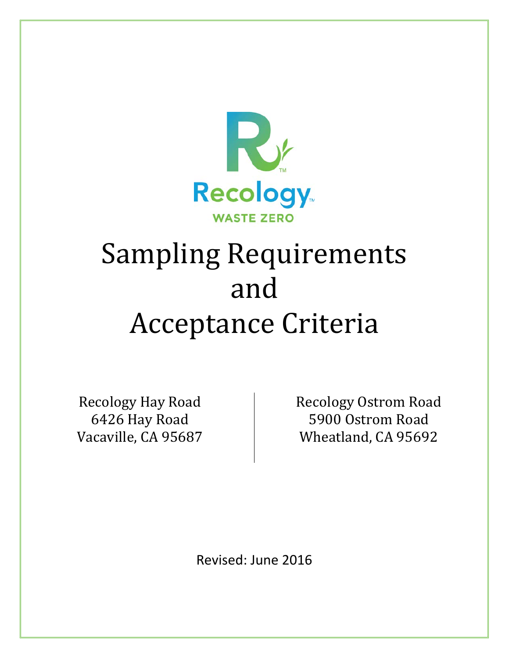

# Sampling Requirements and Acceptance Criteria

Recology Hay Road 6426 Hay Road Vacaville, CA 95687 Recology Ostrom Road 5900 Ostrom Road Wheatland, CA 95692

Revised: June 2016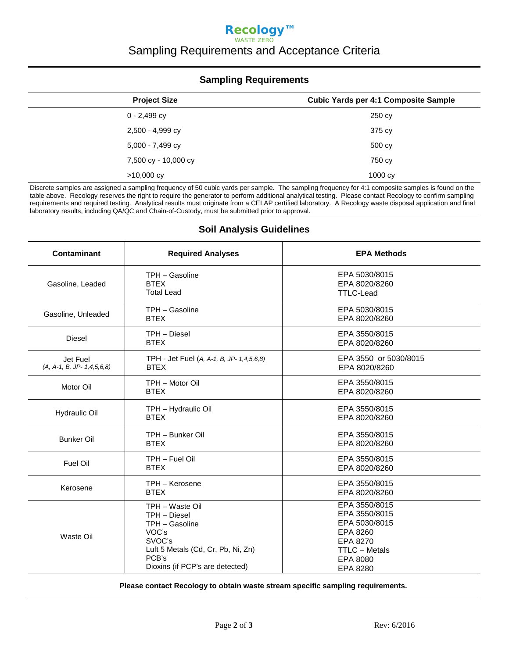#### **Recology™** WASTE ZERO Sampling Requirements and Acceptance Criteria

#### **Sampling Requirements**

| <b>Project Size</b>  | <b>Cubic Yards per 4:1 Composite Sample</b> |
|----------------------|---------------------------------------------|
| $0 - 2,499$ cy       | 250 cy                                      |
| 2,500 - 4,999 cy     | 375 cy                                      |
| 5,000 - 7,499 cy     | 500 cy                                      |
| 7,500 cy - 10,000 cy | 750 cy                                      |
| $>10,000$ cy         | 1000 cy                                     |

Discrete samples are assigned a sampling frequency of 50 cubic yards per sample. The sampling frequency for 4:1 composite samples is found on the table above. Recology reserves the right to require the generator to perform additional analytical testing. Please contact Recology to confirm sampling requirements and required testing. Analytical results must originate from a CELAP certified laboratory. A Recology waste disposal application and final laboratory results, including QA/QC and Chain-of-Custody, must be submitted prior to approval.

#### **Soil Analysis Guidelines**

| Contaminant                             | <b>Required Analyses</b>                                                                                                                               | <b>EPA Methods</b>                                                                                                      |  |
|-----------------------------------------|--------------------------------------------------------------------------------------------------------------------------------------------------------|-------------------------------------------------------------------------------------------------------------------------|--|
| Gasoline, Leaded                        | TPH - Gasoline<br><b>BTEX</b><br><b>Total Lead</b>                                                                                                     | EPA 5030/8015<br>EPA 8020/8260<br><b>TTLC-Lead</b>                                                                      |  |
| Gasoline, Unleaded                      | TPH - Gasoline<br><b>BTEX</b>                                                                                                                          | EPA 5030/8015<br>EPA 8020/8260                                                                                          |  |
| <b>Diesel</b>                           | TPH - Diesel<br><b>BTEX</b>                                                                                                                            | EPA 3550/8015<br>EPA 8020/8260                                                                                          |  |
| Jet Fuel<br>$(A, A-1, B, JP-1,4,5,6,8)$ | TPH - Jet Fuel (A, A-1, B, JP- 1,4,5,6,8)<br><b>BTEX</b>                                                                                               | EPA 3550 or 5030/8015<br>EPA 8020/8260                                                                                  |  |
| Motor Oil                               | TPH - Motor Oil<br><b>BTEX</b>                                                                                                                         | EPA 3550/8015<br>EPA 8020/8260                                                                                          |  |
| Hydraulic Oil                           | TPH - Hydraulic Oil<br><b>BTEX</b>                                                                                                                     | EPA 3550/8015<br>EPA 8020/8260                                                                                          |  |
| <b>Bunker Oil</b>                       | TPH - Bunker Oil<br><b>BTEX</b>                                                                                                                        | EPA 3550/8015<br>EPA 8020/8260                                                                                          |  |
| Fuel Oil                                | TPH - Fuel Oil<br><b>BTEX</b>                                                                                                                          | EPA 3550/8015<br>EPA 8020/8260                                                                                          |  |
| Kerosene                                | TPH - Kerosene<br><b>BTEX</b>                                                                                                                          | EPA 3550/8015<br>EPA 8020/8260                                                                                          |  |
| Waste Oil                               | TPH - Waste Oil<br>TPH - Diesel<br>TPH - Gasoline<br>VOC's<br>SVOC's<br>Luft 5 Metals (Cd, Cr, Pb, Ni, Zn)<br>PCB's<br>Dioxins (if PCP's are detected) | EPA 3550/8015<br>EPA 3550/8015<br>EPA 5030/8015<br>EPA 8260<br>EPA 8270<br><b>TTLC - Metals</b><br>EPA 8080<br>EPA 8280 |  |

**Please contact Recology to obtain waste stream specific sampling requirements.**